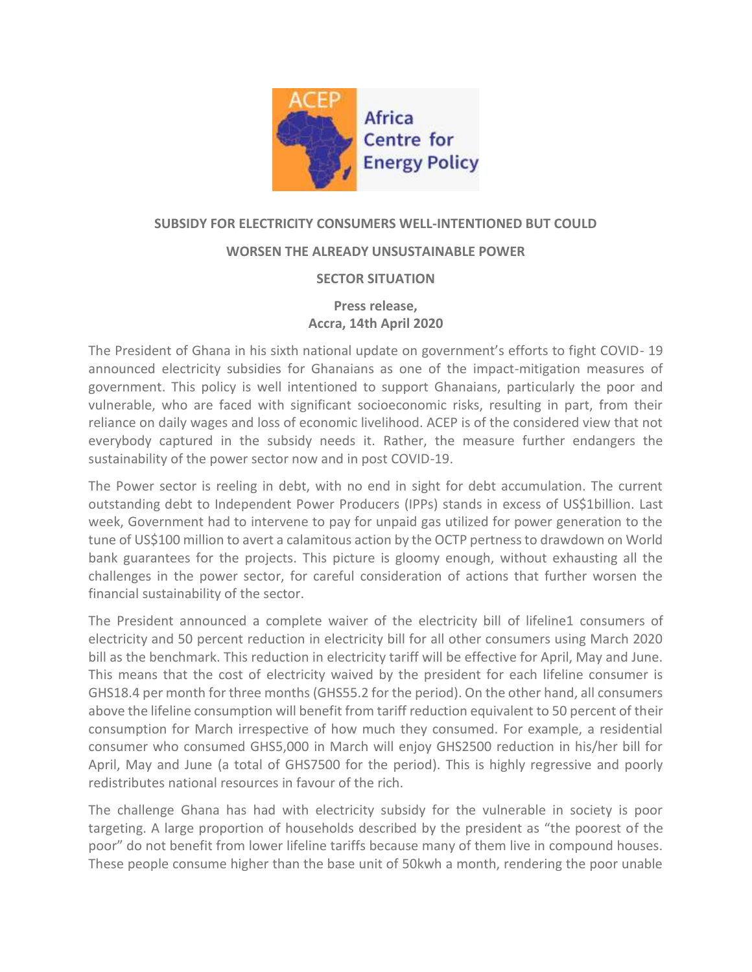

## **SUBSIDY FOR ELECTRICITY CONSUMERS WELL-INTENTIONED BUT COULD**

### **WORSEN THE ALREADY UNSUSTAINABLE POWER**

### **SECTOR SITUATION**

# **Press release, Accra, 14th April 2020**

The President of Ghana in his sixth national update on government's efforts to fight COVID- 19 announced electricity subsidies for Ghanaians as one of the impact-mitigation measures of government. This policy is well intentioned to support Ghanaians, particularly the poor and vulnerable, who are faced with significant socioeconomic risks, resulting in part, from their reliance on daily wages and loss of economic livelihood. ACEP is of the considered view that not everybody captured in the subsidy needs it. Rather, the measure further endangers the sustainability of the power sector now and in post COVID-19.

The Power sector is reeling in debt, with no end in sight for debt accumulation. The current outstanding debt to Independent Power Producers (IPPs) stands in excess of US\$1billion. Last week, Government had to intervene to pay for unpaid gas utilized for power generation to the tune of US\$100 million to avert a calamitous action by the OCTP pertness to drawdown on World bank guarantees for the projects. This picture is gloomy enough, without exhausting all the challenges in the power sector, for careful consideration of actions that further worsen the financial sustainability of the sector.

The President announced a complete waiver of the electricity bill of lifeline1 consumers of electricity and 50 percent reduction in electricity bill for all other consumers using March 2020 bill as the benchmark. This reduction in electricity tariff will be effective for April, May and June. This means that the cost of electricity waived by the president for each lifeline consumer is GHS18.4 per month for three months (GHS55.2 for the period). On the other hand, all consumers above the lifeline consumption will benefit from tariff reduction equivalent to 50 percent of their consumption for March irrespective of how much they consumed. For example, a residential consumer who consumed GHS5,000 in March will enjoy GHS2500 reduction in his/her bill for April, May and June (a total of GHS7500 for the period). This is highly regressive and poorly redistributes national resources in favour of the rich.

The challenge Ghana has had with electricity subsidy for the vulnerable in society is poor targeting. A large proportion of households described by the president as "the poorest of the poor" do not benefit from lower lifeline tariffs because many of them live in compound houses. These people consume higher than the base unit of 50kwh a month, rendering the poor unable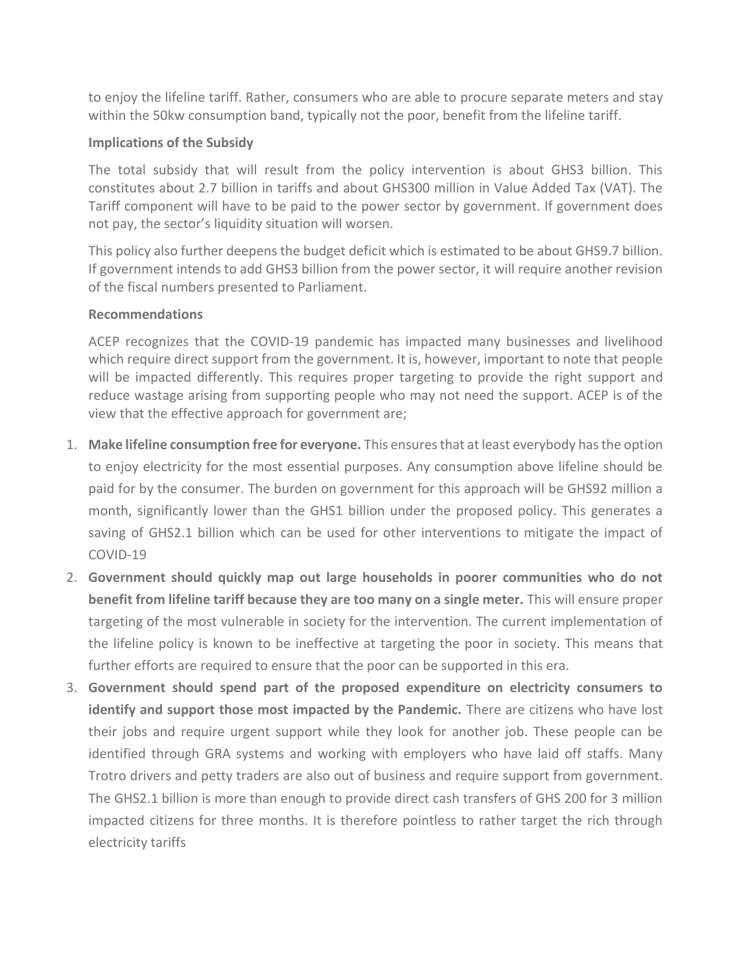to enjoy the lifeline tariff. Rather, consumers who are able to procure separate meters and stay within the 50kw consumption band, typically not the poor, benefit from the lifeline tariff.

## **Implications of the Subsidy**

The total subsidy that will result from the policy intervention is about GHS3 billion. This constitutes about 2.7 billion in tariffs and about GHS300 million in Value Added Tax (VAT). The Tariff component will have to be paid to the power sector by government. If government does not pay, the sector's liquidity situation will worsen.

This policy also further deepens the budget deficit which is estimated to be about GHS9.7 billion. If government intends to add GHS3 billion from the power sector, it will require another revision of the fiscal numbers presented to Parliament.

### **Recommendations**

ACEP recognizes that the COVID-19 pandemic has impacted many businesses and livelihood which require direct support from the government. It is, however, important to note that people will be impacted differently. This requires proper targeting to provide the right support and reduce wastage arising from supporting people who may not need the support. ACEP is of the view that the effective approach for government are;

- 1. **Make lifeline consumption free for everyone.** This ensures that at least everybody has the option to enjoy electricity for the most essential purposes. Any consumption above lifeline should be paid for by the consumer. The burden on government for this approach will be GHS92 million a month, significantly lower than the GHS1 billion under the proposed policy. This generates a saving of GHS2.1 billion which can be used for other interventions to mitigate the impact of COVID-19
- 2. **Government should quickly map out large households in poorer communities who do not benefit from lifeline tariff because they are too many on a single meter.** This will ensure proper targeting of the most vulnerable in society for the intervention. The current implementation of the lifeline policy is known to be ineffective at targeting the poor in society. This means that further efforts are required to ensure that the poor can be supported in this era.
- 3. **Government should spend part of the proposed expenditure on electricity consumers to identify and support those most impacted by the Pandemic.** There are citizens who have lost their jobs and require urgent support while they look for another job. These people can be identified through GRA systems and working with employers who have laid off staffs. Many Trotro drivers and petty traders are also out of business and require support from government. The GHS2.1 billion is more than enough to provide direct cash transfers of GHS 200 for 3 million impacted citizens for three months. It is therefore pointless to rather target the rich through electricity tariffs